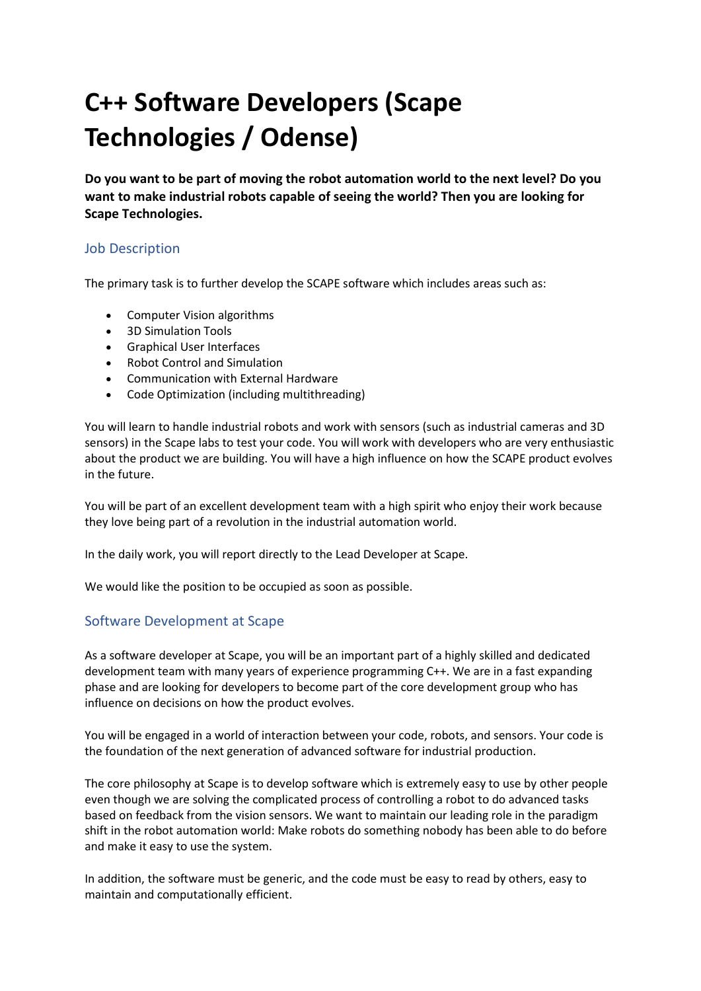# C++ Software Developers (Scape Technologies / Odense)

Do you want to be part of moving the robot automation world to the next level? Do you want to make industrial robots capable of seeing the world? Then you are looking for Scape Technologies.

#### Job Description

The primary task is to further develop the SCAPE software which includes areas such as:

- Computer Vision algorithms
- 3D Simulation Tools
- Graphical User Interfaces
- Robot Control and Simulation
- Communication with External Hardware
- Code Optimization (including multithreading)

You will learn to handle industrial robots and work with sensors (such as industrial cameras and 3D sensors) in the Scape labs to test your code. You will work with developers who are very enthusiastic about the product we are building. You will have a high influence on how the SCAPE product evolves in the future.

You will be part of an excellent development team with a high spirit who enjoy their work because they love being part of a revolution in the industrial automation world.

In the daily work, you will report directly to the Lead Developer at Scape.

We would like the position to be occupied as soon as possible.

#### Software Development at Scape

As a software developer at Scape, you will be an important part of a highly skilled and dedicated development team with many years of experience programming C++. We are in a fast expanding phase and are looking for developers to become part of the core development group who has influence on decisions on how the product evolves.

You will be engaged in a world of interaction between your code, robots, and sensors. Your code is the foundation of the next generation of advanced software for industrial production.

The core philosophy at Scape is to develop software which is extremely easy to use by other people even though we are solving the complicated process of controlling a robot to do advanced tasks based on feedback from the vision sensors. We want to maintain our leading role in the paradigm shift in the robot automation world: Make robots do something nobody has been able to do before and make it easy to use the system.

In addition, the software must be generic, and the code must be easy to read by others, easy to maintain and computationally efficient.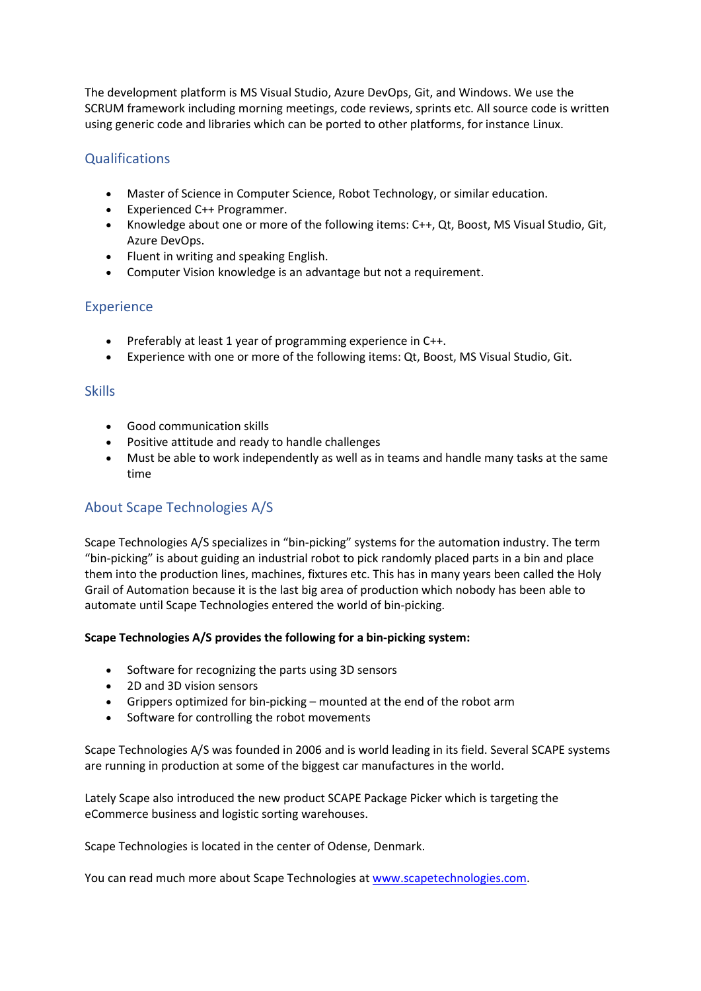The development platform is MS Visual Studio, Azure DevOps, Git, and Windows. We use the SCRUM framework including morning meetings, code reviews, sprints etc. All source code is written using generic code and libraries which can be ported to other platforms, for instance Linux.

## **Qualifications**

- Master of Science in Computer Science, Robot Technology, or similar education.
- Experienced C++ Programmer.
- Knowledge about one or more of the following items: C++, Qt, Boost, MS Visual Studio, Git, Azure DevOps.
- Fluent in writing and speaking English.
- Computer Vision knowledge is an advantage but not a requirement.

#### Experience

- Preferably at least 1 year of programming experience in C++.
- Experience with one or more of the following items: Qt, Boost, MS Visual Studio, Git.

#### **Skills**

- Good communication skills
- Positive attitude and ready to handle challenges
- Must be able to work independently as well as in teams and handle many tasks at the same time

## About Scape Technologies A/S

Scape Technologies A/S specializes in "bin-picking" systems for the automation industry. The term "bin-picking" is about guiding an industrial robot to pick randomly placed parts in a bin and place them into the production lines, machines, fixtures etc. This has in many years been called the Holy Grail of Automation because it is the last big area of production which nobody has been able to automate until Scape Technologies entered the world of bin-picking.

#### Scape Technologies A/S provides the following for a bin-picking system:

- Software for recognizing the parts using 3D sensors
- 2D and 3D vision sensors
- Grippers optimized for bin-picking mounted at the end of the robot arm
- Software for controlling the robot movements

Scape Technologies A/S was founded in 2006 and is world leading in its field. Several SCAPE systems are running in production at some of the biggest car manufactures in the world.

Lately Scape also introduced the new product SCAPE Package Picker which is targeting the eCommerce business and logistic sorting warehouses.

Scape Technologies is located in the center of Odense, Denmark.

You can read much more about Scape Technologies at www.scapetechnologies.com.